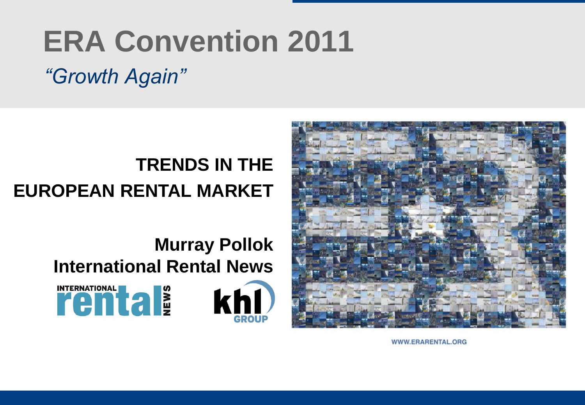# **ERA Convention 2011**

# *"Growth Again"*

### **TRENDS IN THE EUROPEAN RENTAL MARKET**

### **Murray Pollok International Rental News**







WWW.ERARENTAL.ORG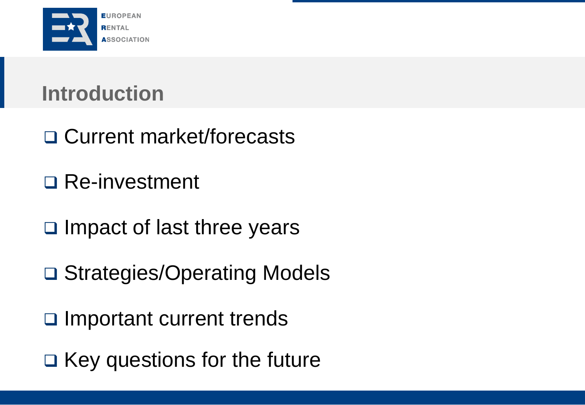

# **Introduction**

- □ Current market/forecasts
- □ Re-investment
- $\square$  Impact of last three years
- □ Strategies/Operating Models
- □ Important current trends
- $\Box$  Key questions for the future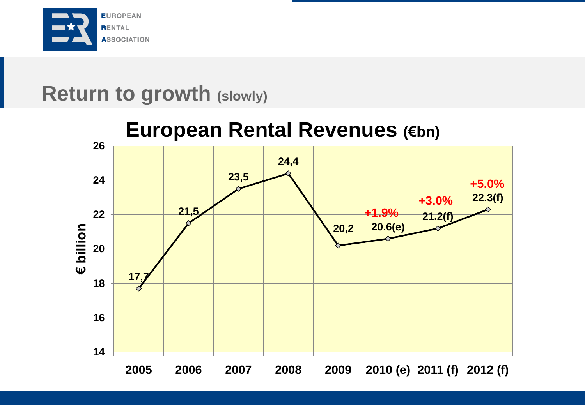

### **Return to growth (slowly)**

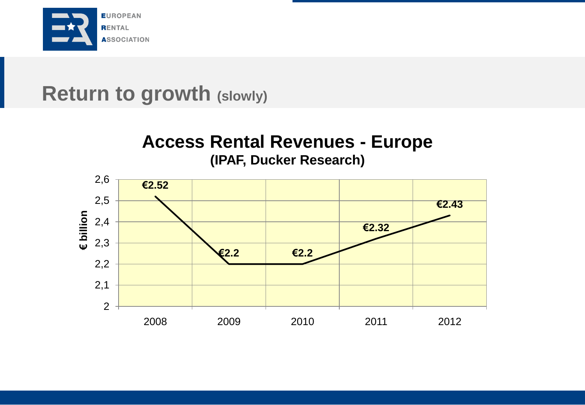

### **Return to growth (slowly)**

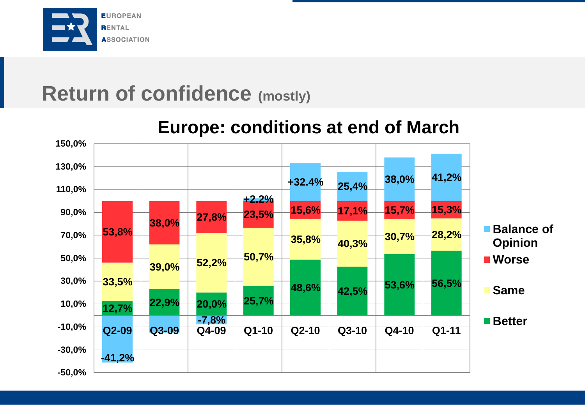

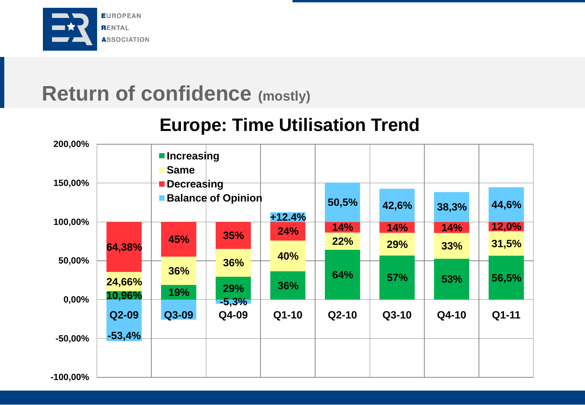

### **Europe: Time Utilisation Trend**

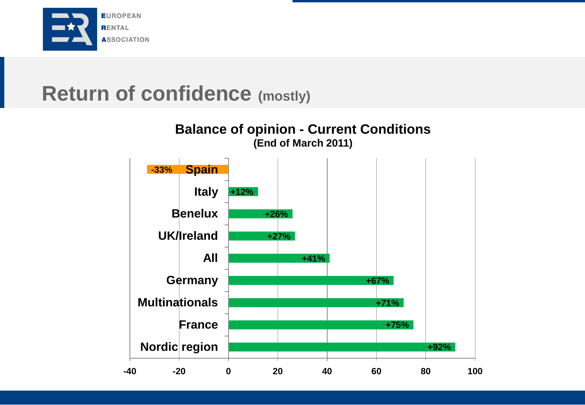

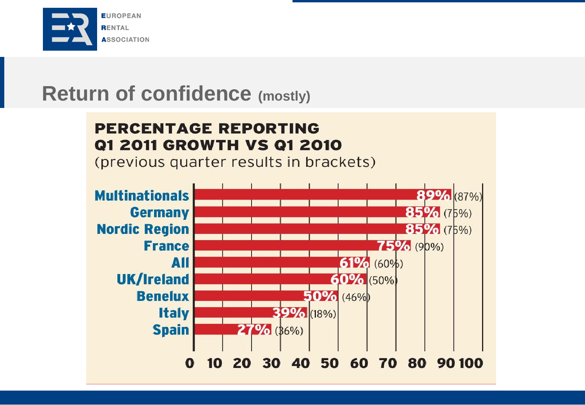

#### **PERCENTAGE REPORTING Q1 2011 GROWTH VS Q1 2010**

(previous quarter results in brackets)

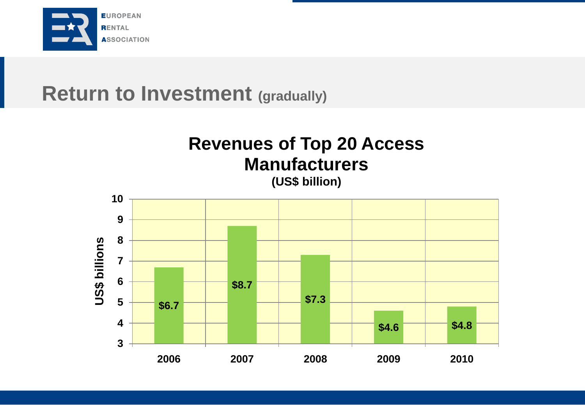

### **Return to Investment (gradually)**



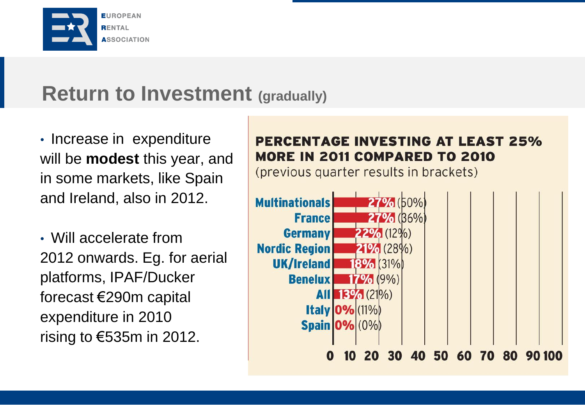

### **Return to Investment (gradually)**

• Increase in expenditure will be **modest** this year, and in some markets, like Spain and Ireland, also in 2012.

• Will accelerate from 2012 onwards. Eg. for aerial platforms, IPAF/Ducker forecast €290m capital expenditure in 2010 rising to €535m in 2012.

#### **PERCENTAGE INVESTING AT LEAST 25% MORE IN 2011 COMPARED TO 2010**

(previous quarter results in brackets)

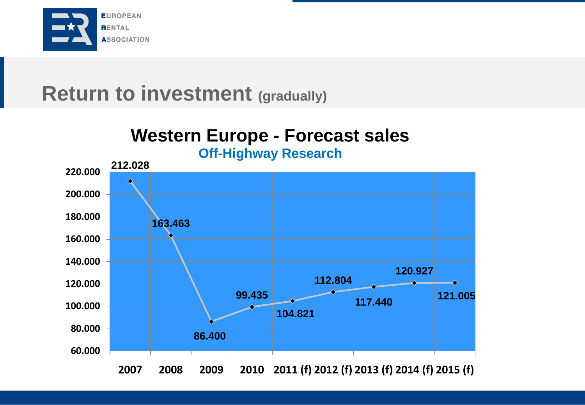

### **Return to investment (gradually)**

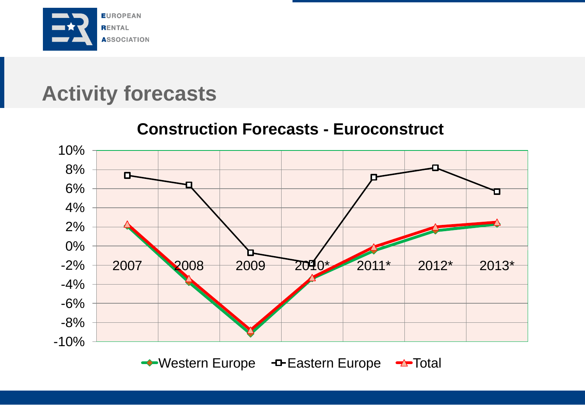

# **Activity forecasts**

#### 10% 8%  $\blacksquare$ 6% 4% 2% 0% -2% 2007 2008 2009 2010\* 2011\* 2012\* 2013\* -4% -6% -8% -10% ← Western Europe - Fastern Europe → Total

**Construction Forecasts - Euroconstruct**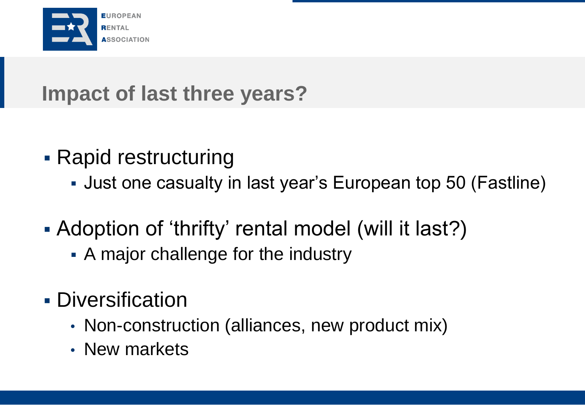

# **Impact of last three years?**

- Rapid restructuring
	- Just one casualty in last year's European top 50 (Fastline)
- Adoption of 'thrifty' rental model (will it last?)
	- A major challenge for the industry
- **Diversification** 
	- Non-construction (alliances, new product mix)
	- New markets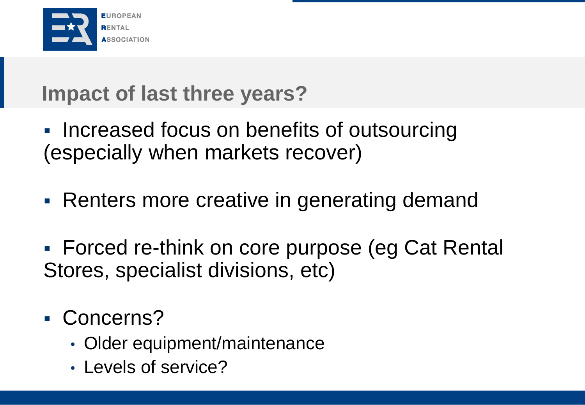

# **Impact of last three years?**

- **Increased focus on benefits of outsourcing** (especially when markets recover)
- Renters more creative in generating demand
- Forced re-think on core purpose (eg Cat Rental Stores, specialist divisions, etc)
- Concerns?
	- Older equipment/maintenance
	- Levels of service?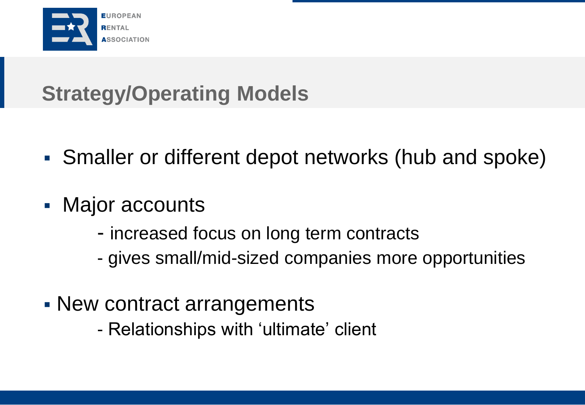

# **Strategy/Operating Models**

- Smaller or different depot networks (hub and spoke)
- Major accounts
	- increased focus on long term contracts
	- gives small/mid-sized companies more opportunities
- New contract arrangements
	- Relationships with 'ultimate' client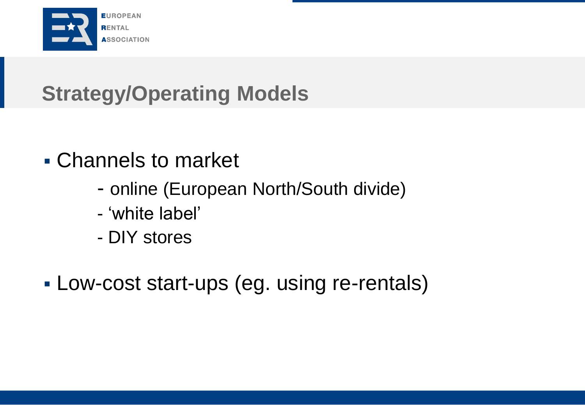

# **Strategy/Operating Models**

- Channels to market
	- online (European North/South divide)
	- 'white label'
	- DIY stores
- Low-cost start-ups (eg. using re-rentals)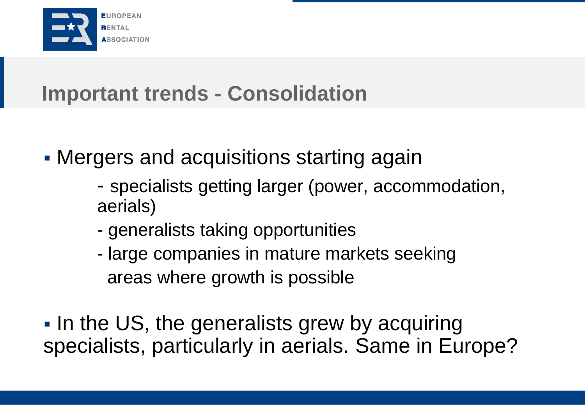

# **Important trends - Consolidation**

- Mergers and acquisitions starting again
	- specialists getting larger (power, accommodation, aerials)
	- generalists taking opportunities
	- large companies in mature markets seeking areas where growth is possible
- In the US, the generalists grew by acquiring specialists, particularly in aerials. Same in Europe?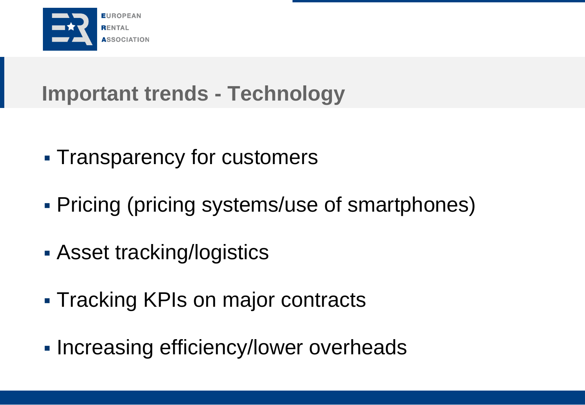

# **Important trends - Technology**

- **Transparency for customers**
- Pricing (pricing systems/use of smartphones)
- **Asset tracking/logistics**
- **Tracking KPIs on major contracts**
- Increasing efficiency/lower overheads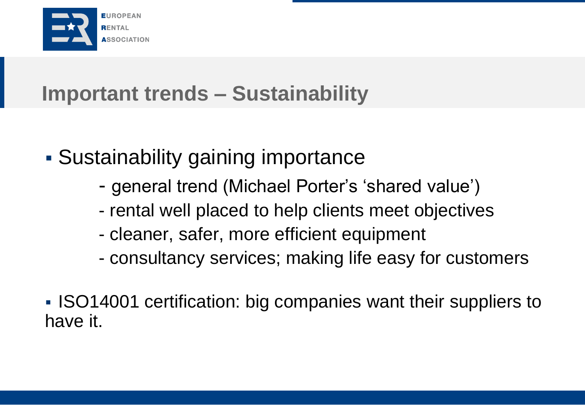

# **Important trends – Sustainability**

- Sustainability gaining importance
	- general trend (Michael Porter's 'shared value')
	- rental well placed to help clients meet objectives
	- cleaner, safer, more efficient equipment
	- consultancy services; making life easy for customers
- **ISO14001 certification: big companies want their suppliers to** have it.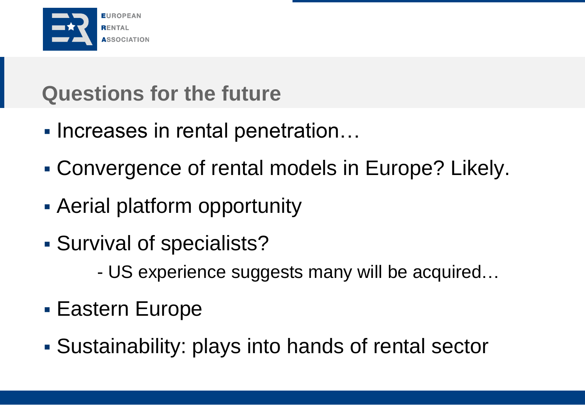

# **Questions for the future**

- Increases in rental penetration...
- Convergence of rental models in Europe? Likely.
- Aerial platform opportunity
- Survival of specialists?
	- US experience suggests many will be acquired…
- Eastern Europe
- Sustainability: plays into hands of rental sector